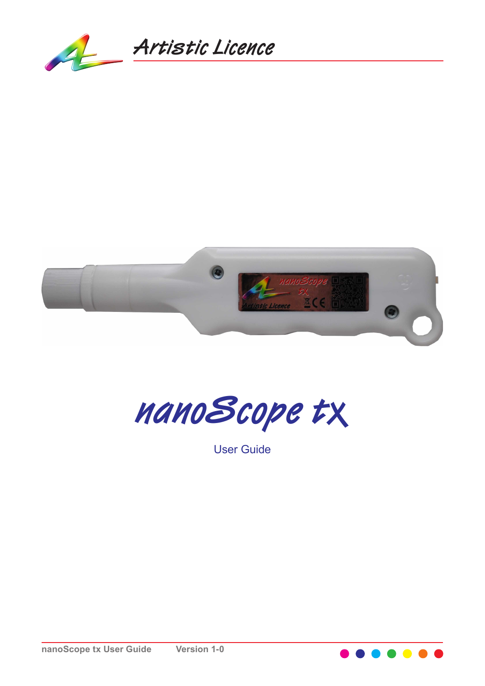





User Guide

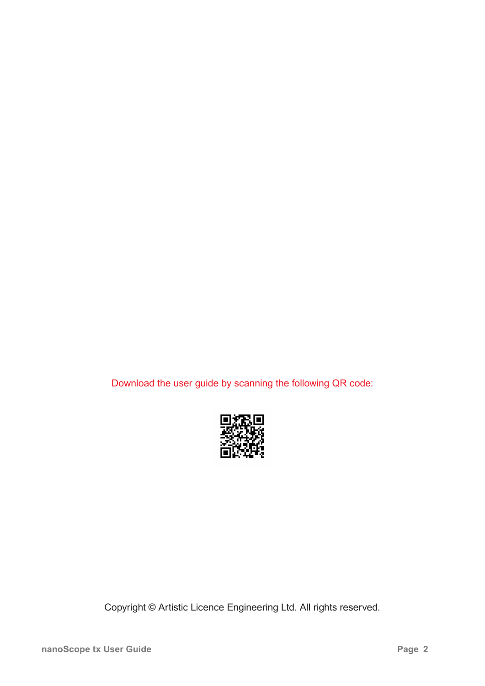Download the user guide by scanning the following QR code:



Copyright © Artistic Licence Engineering Ltd. All rights reserved.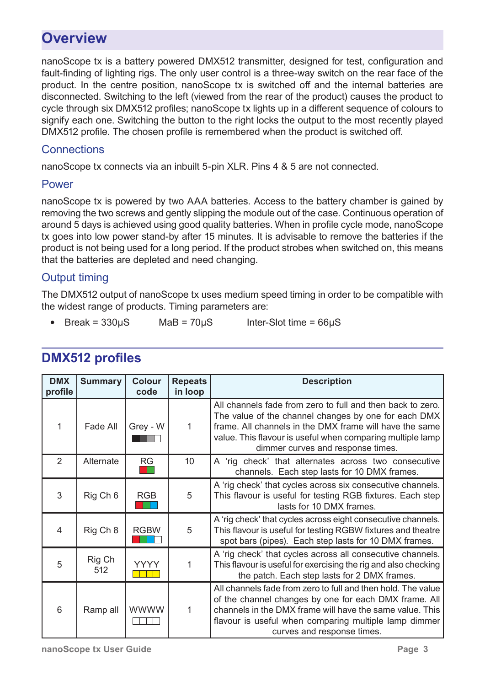# **Overview**

nanoScope tx is a battery powered DMX512 transmitter, designed for test, configuration and fault-finding of lighting rigs. The only user control is a three-way switch on the rear face of the product. In the centre position, nanoScope tx is switched off and the internal batteries are disconnected. Switching to the left (viewed from the rear of the product) causes the product to cycle through six DMX512 profiles; nanoScope tx lights up in a different sequence of colours to signify each one. Switching the button to the right locks the output to the most recently played DMX512 profile. The chosen profile is remembered when the product is switched off.

#### **Connections**

nanoScope tx connects via an inbuilt 5-pin XLR. Pins 4 & 5 are not connected.

#### Power

nanoScope tx is powered by two AAA batteries. Access to the battery chamber is gained by removing the two screws and gently slipping the module out of the case. Continuous operation of around 5 days is achieved using good quality batteries. When in profile cycle mode, nanoScope tx goes into low power stand-by after 15 minutes. It is advisable to remove the batteries if the product is not being used for a long period. If the product strobes when switched on, this means that the batteries are depleted and need changing.

### Output timing

The DMX512 output of nanoScope tx uses medium speed timing in order to be compatible with the widest range of products. Timing parameters are:

• Break =  $330\mu$ S MaB =  $70\mu$ S Inter-Slot time =  $66\mu$ S

| <b>DMX</b><br>profile | <b>Summary</b>      | <b>Colour</b><br>code | <b>Repeats</b><br>in loop | <b>Description</b>                                                                                                                                                                                                                                                               |
|-----------------------|---------------------|-----------------------|---------------------------|----------------------------------------------------------------------------------------------------------------------------------------------------------------------------------------------------------------------------------------------------------------------------------|
| 1                     | Fade All            | Grey - W              | 1                         | All channels fade from zero to full and then back to zero.<br>The value of the channel changes by one for each DMX<br>frame. All channels in the DMX frame will have the same<br>value. This flavour is useful when comparing multiple lamp<br>dimmer curves and response times. |
| $\overline{2}$        | Alternate           | <b>RG</b>             | 10                        | A 'rig check' that alternates across two consecutive<br>channels. Each step lasts for 10 DMX frames.                                                                                                                                                                             |
| 3                     | Rig Ch <sub>6</sub> | <b>RGB</b>            | 5                         | A 'rig check' that cycles across six consecutive channels.<br>This flavour is useful for testing RGB fixtures. Each step<br>lasts for 10 DMX frames.                                                                                                                             |
| 4                     | Rig Ch 8            | <b>RGBW</b>           | 5                         | A 'rig check' that cycles across eight consecutive channels.<br>This flavour is useful for testing RGBW fixtures and theatre<br>spot bars (pipes). Each step lasts for 10 DMX frames.                                                                                            |
| 5                     | Rig Ch<br>512       | YYYY                  |                           | A 'rig check' that cycles across all consecutive channels.<br>This flavour is useful for exercising the rig and also checking<br>the patch. Each step lasts for 2 DMX frames.                                                                                                    |
| 6                     | Ramp all            | <b>WWWW</b>           | 1                         | All channels fade from zero to full and then hold. The value<br>of the channel changes by one for each DMX frame. All<br>channels in the DMX frame will have the same value. This<br>flavour is useful when comparing multiple lamp dimmer<br>curves and response times.         |

## **DMX512 profiles**